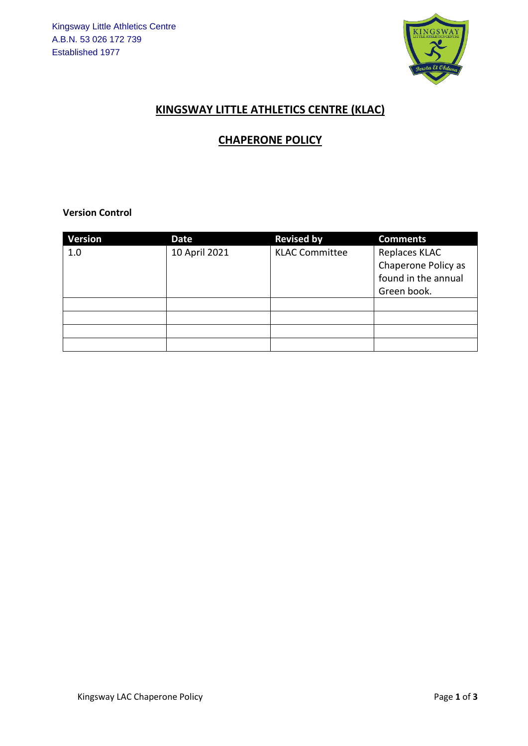

## **KINGSWAY LITTLE ATHLETICS CENTRE (KLAC)**

## **CHAPERONE POLICY**

**Version Control** 

| <b>Version</b> | Date          | <b>Revised by</b>     | <b>Comments</b>                                                            |
|----------------|---------------|-----------------------|----------------------------------------------------------------------------|
| 1.0            | 10 April 2021 | <b>KLAC Committee</b> | Replaces KLAC<br>Chaperone Policy as<br>found in the annual<br>Green book. |
|                |               |                       |                                                                            |
|                |               |                       |                                                                            |
|                |               |                       |                                                                            |
|                |               |                       |                                                                            |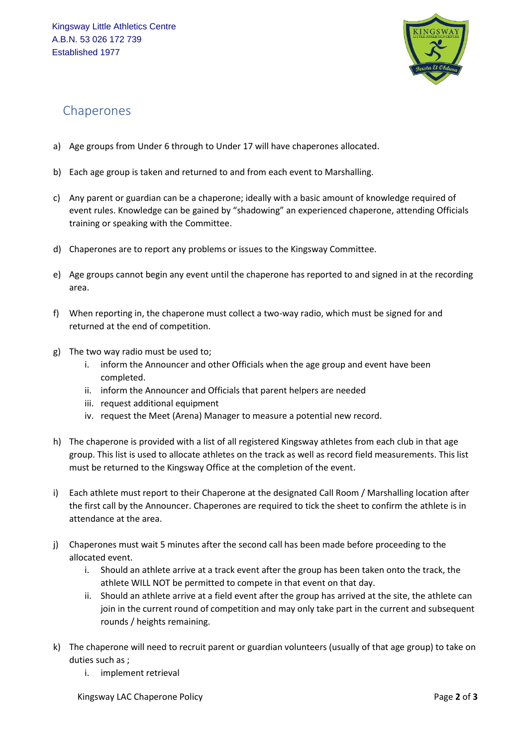

## Chaperones

- a) Age groups from Under 6 through to Under 17 will have chaperones allocated.
- b) Each age group is taken and returned to and from each event to Marshalling.
- c) Any parent or guardian can be a chaperone; ideally with a basic amount of knowledge required of event rules. Knowledge can be gained by "shadowing" an experienced chaperone, attending Officials training or speaking with the Committee.
- d) Chaperones are to report any problems or issues to the Kingsway Committee.
- e) Age groups cannot begin any event until the chaperone has reported to and signed in at the recording area.
- f) When reporting in, the chaperone must collect a two-way radio, which must be signed for and returned at the end of competition.
- g) The two way radio must be used to;
	- i. inform the Announcer and other Officials when the age group and event have been completed.
	- ii. inform the Announcer and Officials that parent helpers are needed
	- iii. request additional equipment
	- iv. request the Meet (Arena) Manager to measure a potential new record.
- h) The chaperone is provided with a list of all registered Kingsway athletes from each club in that age group. This list is used to allocate athletes on the track as well as record field measurements. This list must be returned to the Kingsway Office at the completion of the event.
- i) Each athlete must report to their Chaperone at the designated Call Room / Marshalling location after the first call by the Announcer. Chaperones are required to tick the sheet to confirm the athlete is in attendance at the area.
- j) Chaperones must wait 5 minutes after the second call has been made before proceeding to the allocated event.
	- i. Should an athlete arrive at a track event after the group has been taken onto the track, the athlete WILL NOT be permitted to compete in that event on that day.
	- ii. Should an athlete arrive at a field event after the group has arrived at the site, the athlete can join in the current round of competition and may only take part in the current and subsequent rounds / heights remaining.
- k) The chaperone will need to recruit parent or guardian volunteers (usually of that age group) to take on duties such as ;
	- i. implement retrieval